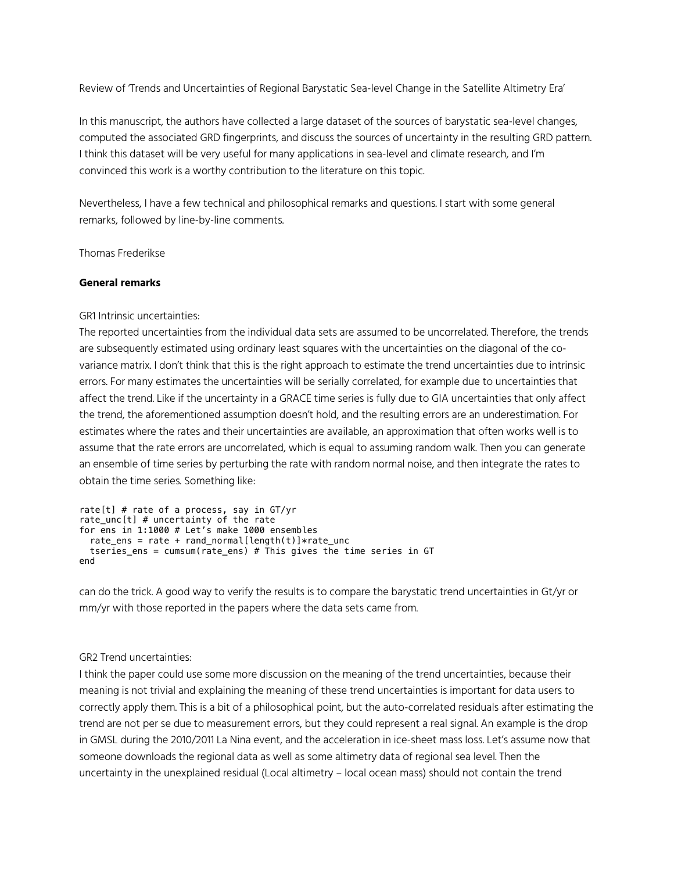Review of 'Trends and Uncertainties of Regional Barystatic Sea-level Change in the Satellite Altimetry Era'

In this manuscript, the authors have collected a large dataset of the sources of barystatic sea-level changes, computed the associated GRD fingerprints, and discuss the sources of uncertainty in the resulting GRD pattern. I think this dataset will be very useful for many applications in sea-level and climate research, and I'm convinced this work is a worthy contribution to the literature on this topic.

Nevertheless, I have a few technical and philosophical remarks and questions. I start with some general remarks, followed by line-by-line comments.

Thomas Frederikse

#### **General remarks**

GR1 Intrinsic uncertainties:

The reported uncertainties from the individual data sets are assumed to be uncorrelated. Therefore, the trends are subsequently estimated using ordinary least squares with the uncertainties on the diagonal of the covariance matrix. I don't think that this is the right approach to estimate the trend uncertainties due to intrinsic errors. For many estimates the uncertainties will be serially correlated, for example due to uncertainties that affect the trend. Like if the uncertainty in a GRACE time series is fully due to GIA uncertainties that only affect the trend, the aforementioned assumption doesn't hold, and the resulting errors are an underestimation. For estimates where the rates and their uncertainties are available, an approximation that often works well is to assume that the rate errors are uncorrelated, which is equal to assuming random walk. Then you can generate an ensemble of time series by perturbing the rate with random normal noise, and then integrate the rates to obtain the time series. Something like:

```
rate[t] # rate of a process, say in GT/yrrate unc[t] # uncertainty of the rate
for ens in 1:1000 # Let's make 1000 ensembles
  rate ens = rate + rand normal[length(t)]*rate unc
   tseries_ens = cumsum(rate_ens) # This gives the time series in GT
end
```
can do the trick. A good way to verify the results is to compare the barystatic trend uncertainties in Gt/yr or mm/yr with those reported in the papers where the data sets came from.

GR2 Trend uncertainties:

I think the paper could use some more discussion on the meaning of the trend uncertainties, because their meaning is not trivial and explaining the meaning of these trend uncertainties is important for data users to correctly apply them. This is a bit of a philosophical point, but the auto-correlated residuals after estimating the trend are not per se due to measurement errors, but they could represent a real signal. An example is the drop in GMSL during the 2010/2011 La Nina event, and the acceleration in ice-sheet mass loss. Let's assume now that someone downloads the regional data as well as some altimetry data of regional sea level. Then the uncertainty in the unexplained residual (Local altimetry – local ocean mass) should not contain the trend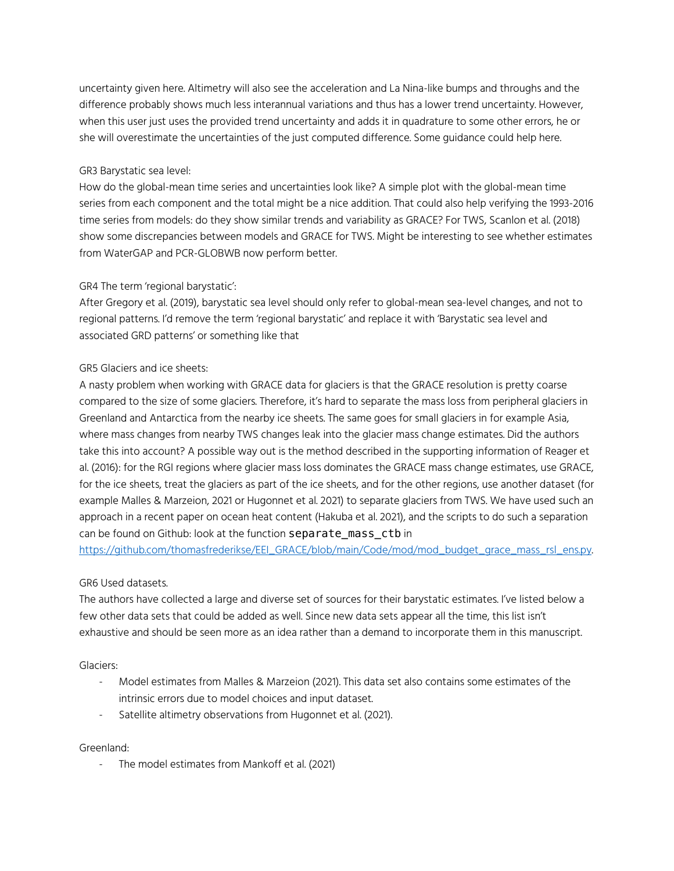uncertainty given here. Altimetry will also see the acceleration and La Nina-like bumps and throughs and the difference probably shows much less interannual variations and thus has a lower trend uncertainty. However, when this user just uses the provided trend uncertainty and adds it in quadrature to some other errors, he or she will overestimate the uncertainties of the just computed difference. Some guidance could help here.

### GR3 Barystatic sea level:

How do the global-mean time series and uncertainties look like? A simple plot with the global-mean time series from each component and the total might be a nice addition. That could also help verifying the 1993-2016 time series from models: do they show similar trends and variability as GRACE? For TWS, Scanlon et al. (2018) show some discrepancies between models and GRACE for TWS. Might be interesting to see whether estimates from WaterGAP and PCR-GLOBWB now perform better.

# GR4 The term 'regional barystatic':

After Gregory et al. (2019), barystatic sea level should only refer to global-mean sea-level changes, and not to regional patterns. I'd remove the term 'regional barystatic' and replace it with 'Barystatic sea level and associated GRD patterns' or something like that

# GR5 Glaciers and ice sheets:

A nasty problem when working with GRACE data for glaciers is that the GRACE resolution is pretty coarse compared to the size of some glaciers. Therefore, it's hard to separate the mass loss from peripheral glaciers in Greenland and Antarctica from the nearby ice sheets. The same goes for small glaciers in for example Asia, where mass changes from nearby TWS changes leak into the glacier mass change estimates. Did the authors take this into account? A possible way out is the method described in the supporting information of Reager et al. (2016): for the RGI regions where glacier mass loss dominates the GRACE mass change estimates, use GRACE, for the ice sheets, treat the glaciers as part of the ice sheets, and for the other regions, use another dataset (for example Malles & Marzeion, 2021 or Hugonnet et al. 2021) to separate glaciers from TWS. We have used such an approach in a recent paper on ocean heat content (Hakuba et al. 2021), and the scripts to do such a separation can be found on Github: look at the function separate mass ctb in

https://github.com/thomasfrederikse/EEI\_GRACE/blob/main/Code/mod/mod\_budget\_grace\_mass\_rsl\_ens.py.

#### GR6 Used datasets.

The authors have collected a large and diverse set of sources for their barystatic estimates. I've listed below a few other data sets that could be added as well. Since new data sets appear all the time, this list isn't exhaustive and should be seen more as an idea rather than a demand to incorporate them in this manuscript.

Glaciers:

- Model estimates from Malles & Marzeion (2021). This data set also contains some estimates of the intrinsic errors due to model choices and input dataset.
- Satellite altimetry observations from Hugonnet et al. (2021).

Greenland:

- The model estimates from Mankoff et al. (2021)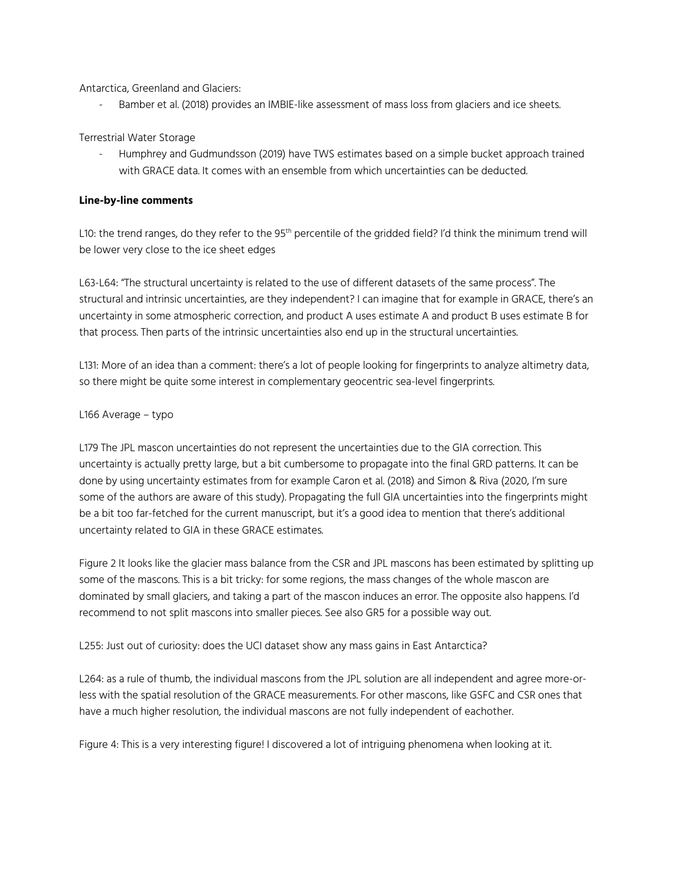Antarctica, Greenland and Glaciers:

Bamber et al. (2018) provides an IMBIE-like assessment of mass loss from glaciers and ice sheets.

# Terrestrial Water Storage

- Humphrey and Gudmundsson (2019) have TWS estimates based on a simple bucket approach trained with GRACE data. It comes with an ensemble from which uncertainties can be deducted.

### **Line-by-line comments**

L10: the trend ranges, do they refer to the 95<sup>th</sup> percentile of the gridded field? I'd think the minimum trend will be lower very close to the ice sheet edges

L63-L64: "The structural uncertainty is related to the use of different datasets of the same process". The structural and intrinsic uncertainties, are they independent? I can imagine that for example in GRACE, there's an uncertainty in some atmospheric correction, and product A uses estimate A and product B uses estimate B for that process. Then parts of the intrinsic uncertainties also end up in the structural uncertainties.

L131: More of an idea than a comment: there's a lot of people looking for fingerprints to analyze altimetry data, so there might be quite some interest in complementary geocentric sea-level fingerprints.

# L166 Average – typo

L179 The JPL mascon uncertainties do not represent the uncertainties due to the GIA correction. This uncertainty is actually pretty large, but a bit cumbersome to propagate into the final GRD patterns. It can be done by using uncertainty estimates from for example Caron et al. (2018) and Simon & Riva (2020, I'm sure some of the authors are aware of this study). Propagating the full GIA uncertainties into the fingerprints might be a bit too far-fetched for the current manuscript, but it's a good idea to mention that there's additional uncertainty related to GIA in these GRACE estimates.

Figure 2 It looks like the glacier mass balance from the CSR and JPL mascons has been estimated by splitting up some of the mascons. This is a bit tricky: for some regions, the mass changes of the whole mascon are dominated by small glaciers, and taking a part of the mascon induces an error. The opposite also happens. I'd recommend to not split mascons into smaller pieces. See also GR5 for a possible way out.

L255: Just out of curiosity: does the UCI dataset show any mass gains in East Antarctica?

L264: as a rule of thumb, the individual mascons from the JPL solution are all independent and agree more-orless with the spatial resolution of the GRACE measurements. For other mascons, like GSFC and CSR ones that have a much higher resolution, the individual mascons are not fully independent of eachother.

Figure 4: This is a very interesting figure! I discovered a lot of intriguing phenomena when looking at it.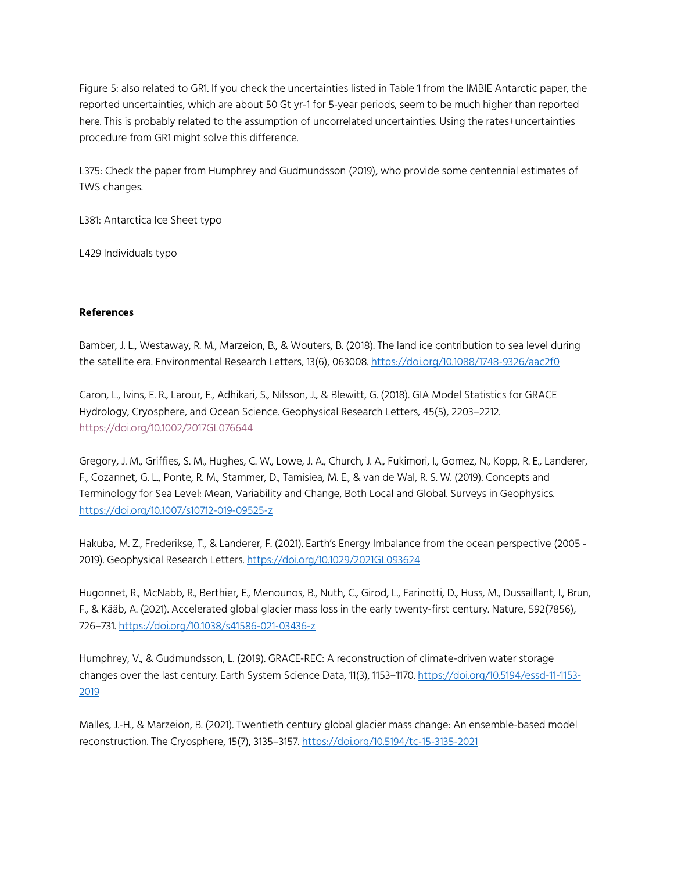Figure 5: also related to GR1. If you check the uncertainties listed in Table 1 from the IMBIE Antarctic paper, the reported uncertainties, which are about 50 Gt yr-1 for 5-year periods, seem to be much higher than reported here. This is probably related to the assumption of uncorrelated uncertainties. Using the rates+uncertainties procedure from GR1 might solve this difference.

L375: Check the paper from Humphrey and Gudmundsson (2019), who provide some centennial estimates of TWS changes.

L381: Antarctica Ice Sheet typo

L429 Individuals typo

### **References**

Bamber, J. L., Westaway, R. M., Marzeion, B., & Wouters, B. (2018). The land ice contribution to sea level during the satellite era. Environmental Research Letters, 13(6), 063008. https://doi.org/10.1088/1748-9326/aac2f0

Caron, L., Ivins, E. R., Larour, E., Adhikari, S., Nilsson, J., & Blewitt, G. (2018). GIA Model Statistics for GRACE Hydrology, Cryosphere, and Ocean Science. Geophysical Research Letters, 45(5), 2203–2212. https://doi.org/10.1002/2017GL076644

Gregory, J. M., Griffies, S. M., Hughes, C. W., Lowe, J. A., Church, J. A., Fukimori, I., Gomez, N., Kopp, R. E., Landerer, F., Cozannet, G. L., Ponte, R. M., Stammer, D., Tamisiea, M. E., & van de Wal, R. S. W. (2019). Concepts and Terminology for Sea Level: Mean, Variability and Change, Both Local and Global. Surveys in Geophysics. https://doi.org/10.1007/s10712-019-09525-z

Hakuba, M. Z., Frederikse, T., & Landerer, F. (2021). Earth's Energy Imbalance from the ocean perspective (2005 - 2019). Geophysical Research Letters. https://doi.org/10.1029/2021GL093624

Hugonnet, R., McNabb, R., Berthier, E., Menounos, B., Nuth, C., Girod, L., Farinotti, D., Huss, M., Dussaillant, I., Brun, F., & Kääb, A. (2021). Accelerated global glacier mass loss in the early twenty-first century. Nature, 592(7856), 726–731. https://doi.org/10.1038/s41586-021-03436-z

Humphrey, V., & Gudmundsson, L. (2019). GRACE-REC: A reconstruction of climate-driven water storage changes over the last century. Earth System Science Data, 11(3), 1153-1170. https://doi.org/10.5194/essd-11-1153-2019

Malles, J.-H., & Marzeion, B. (2021). Twentieth century global glacier mass change: An ensemble-based model reconstruction. The Cryosphere, 15(7), 3135–3157. https://doi.org/10.5194/tc-15-3135-2021